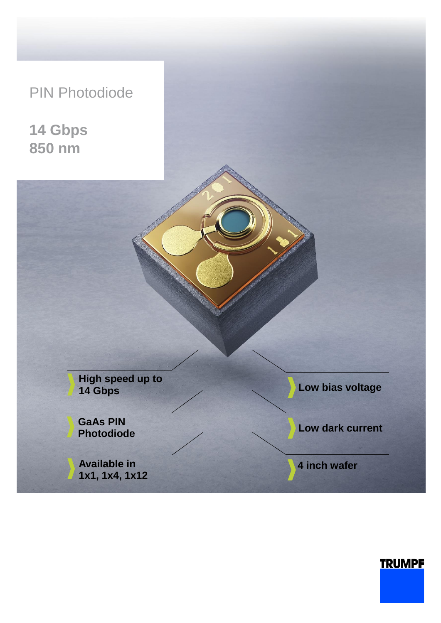# PIN Photodiode

**14 Gbps 850 nm**

> **High speed up to 14 Gbps**

**GaAs PIN Photodiode**

**Available in 1x1, 1x4, 1x12** **Low bias voltage** 

**Low dark current**

**4 inch wafer**